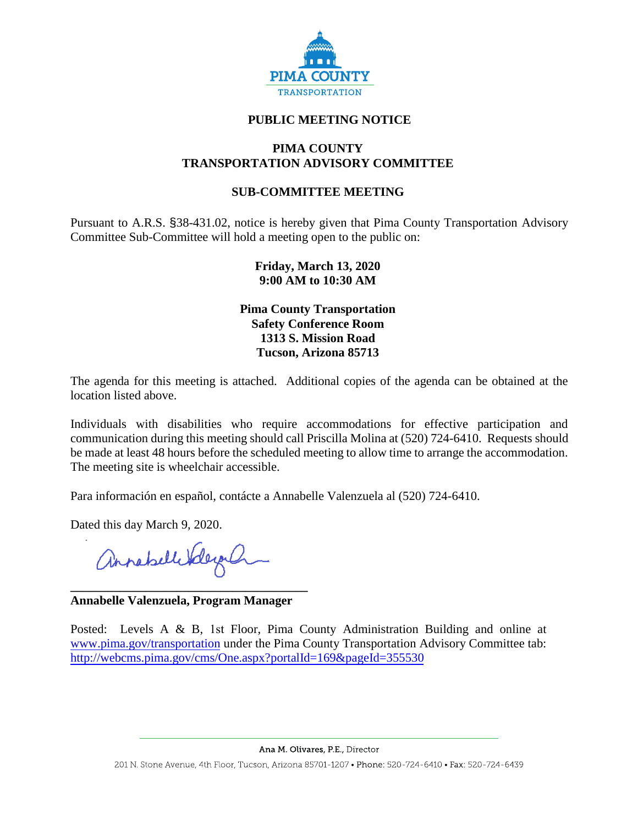

# **PUBLIC MEETING NOTICE**

### **PIMA COUNTY TRANSPORTATION ADVISORY COMMITTEE**

# **SUB-COMMITTEE MEETING**

Pursuant to A.R.S. §38-431.02, notice is hereby given that Pima County Transportation Advisory Committee Sub-Committee will hold a meeting open to the public on:

### **Friday, March 13, 2020 9:00 AM to 10:30 AM**

**Pima County Transportation Safety Conference Room 1313 S. Mission Road Tucson, Arizona 85713**

The agenda for this meeting is attached. Additional copies of the agenda can be obtained at the location listed above.

Individuals with disabilities who require accommodations for effective participation and communication during this meeting should call Priscilla Molina at (520) 724-6410. Requests should be made at least 48 hours before the scheduled meeting to allow time to arrange the accommodation. The meeting site is wheelchair accessible.

Para información en español, contácte a Annabelle Valenzuela al (520) 724-6410.

Dated this day March 9, 2020.

annahelleSdeyah

#### **Annabelle Valenzuela, Program Manager**

**\_\_\_\_\_\_\_\_\_\_\_\_\_\_\_\_\_\_\_\_\_\_\_\_\_\_\_\_\_\_\_\_\_\_\_\_\_\_** 

Posted: Levels A & B, 1st Floor, Pima County Administration Building and online at [www.pima.gov/transportation](http://www.pima.gov/transportation) under the Pima County Transportation Advisory Committee tab: <http://webcms.pima.gov/cms/One.aspx?portalId=169&pageId=355530>

Ana M. Olivares, P.E., Director